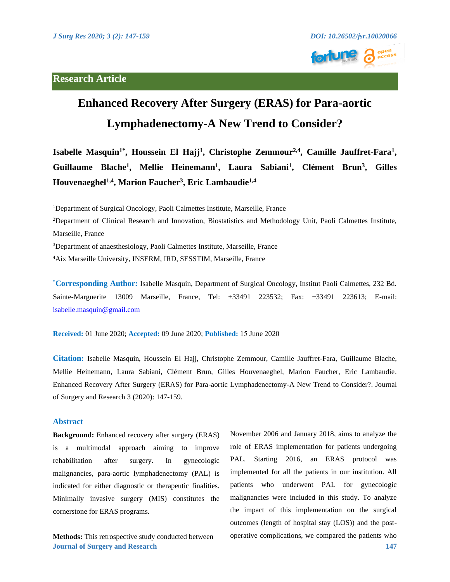# **Research Article**



# **Enhanced Recovery After Surgery (ERAS) for Para-aortic Lymphadenectomy-A New Trend to Consider?**

Isabelle Masquin<sup>1\*</sup>, Houssein El Hajj<sup>1</sup>, Christophe Zemmour<sup>2,4</sup>, Camille Jauffret-Fara<sup>1</sup>, Guillaume Blache<sup>1</sup>, Mellie Heinemann<sup>1</sup>, Laura Sabiani<sup>1</sup>, Clément Brun<sup>3</sup>, Gilles **Houvenaeghel1,4, Marion Faucher3, Eric Lambaudie1,4**

<sup>1</sup>Department of Surgical Oncology, Paoli Calmettes Institute, Marseille, France 2 Department of Clinical Research and Innovation, Biostatistics and Methodology Unit, Paoli Calmettes Institute, Marseille, France <sup>3</sup>Department of anaesthesiology, Paoli Calmettes Institute, Marseille, France 4 Aix Marseille University, INSERM, IRD, SESSTIM, Marseille, France

**\* Corresponding Author:** Isabelle Masquin, Department of Surgical Oncology, Institut Paoli Calmettes, 232 Bd. Sainte-Marguerite 13009 Marseille, France, Tel: +33491 223532; Fax: +33491 223613; E-mail: [isabelle.masquin@gmail.com](mailto:isabelle.masquin@gmail.com) 

**Received:** 01 June 2020; **Accepted:** 09 June 2020; **Published:** 15 June 2020

**Citation:** Isabelle Masquin, Houssein El Hajj, Christophe Zemmour, Camille Jauffret-Fara, Guillaume Blache, Mellie Heinemann, Laura Sabiani, Clément Brun, Gilles Houvenaeghel, Marion Faucher, Eric Lambaudie. Enhanced Recovery After Surgery (ERAS) for Para-aortic Lymphadenectomy-A New Trend to Consider?. Journal of Surgery and Research 3 (2020): 147-159.

### **Abstract**

**Background:** Enhanced recovery after surgery (ERAS) is a multimodal approach aiming to improve rehabilitation after surgery. In gynecologic malignancies, para-aortic lymphadenectomy (PAL) is indicated for either diagnostic or therapeutic finalities. Minimally invasive surgery (MIS) constitutes the cornerstone for ERAS programs.

**Journal of Surgery and Research 147 Methods:** This retrospective study conducted between

November 2006 and January 2018, aims to analyze the role of ERAS implementation for patients undergoing PAL. Starting 2016, an ERAS protocol was implemented for all the patients in our institution. All patients who underwent PAL for gynecologic malignancies were included in this study. To analyze the impact of this implementation on the surgical outcomes (length of hospital stay (LOS)) and the postoperative complications, we compared the patients who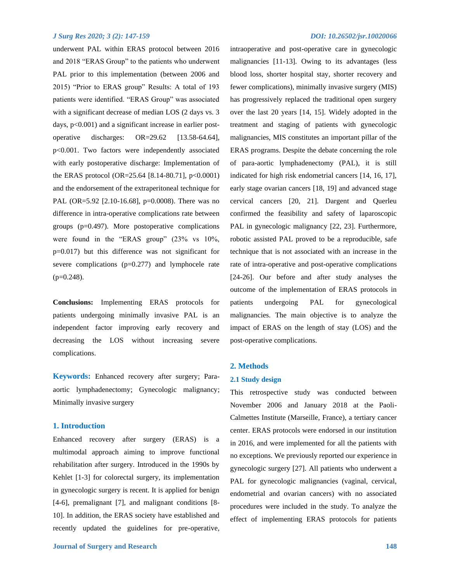underwent PAL within ERAS protocol between 2016 and 2018 "ERAS Group" to the patients who underwent PAL prior to this implementation (between 2006 and 2015) "Prior to ERAS group" Results: A total of 193 patients were identified. "ERAS Group" was associated with a significant decrease of median LOS (2 days vs. 3) days, p<0.001) and a significant increase in earlier postoperative discharges: OR=29.62 [13.58-64.64], p<0.001. Two factors were independently associated with early postoperative discharge: Implementation of the ERAS protocol (OR=25.64 [8.14-80.71],  $p<0.0001$ ) and the endorsement of the extraperitoneal technique for PAL (OR=5.92 [2.10-16.68], p=0.0008). There was no difference in intra-operative complications rate between groups (p=0.497). More postoperative complications were found in the "ERAS group" (23% vs 10%, p=0.017) but this difference was not significant for severe complications (p=0.277) and lymphocele rate  $(p=0.248)$ .

**Conclusions:** Implementing ERAS protocols for patients undergoing minimally invasive PAL is an independent factor improving early recovery and decreasing the LOS without increasing severe complications.

**Keywords:** Enhanced recovery after surgery; Paraaortic lymphadenectomy; Gynecologic malignancy; Minimally invasive surgery

### **1. Introduction**

Enhanced recovery after surgery (ERAS) is a multimodal approach aiming to improve functional rehabilitation after surgery. Introduced in the 1990s by Kehlet [1-3] for colorectal surgery, its implementation in gynecologic surgery is recent. It is applied for benign [4-6], premalignant [7], and malignant conditions [8- 10]. In addition, the ERAS society have established and recently updated the guidelines for pre-operative,

intraoperative and post-operative care in gynecologic malignancies [11-13]. Owing to its advantages (less blood loss, shorter hospital stay, shorter recovery and fewer complications), minimally invasive surgery (MIS) has progressively replaced the traditional open surgery over the last 20 years [14, 15]. Widely adopted in the treatment and staging of patients with gynecologic malignancies, MIS constitutes an important pillar of the ERAS programs. Despite the debate concerning the role of para-aortic lymphadenectomy (PAL), it is still indicated for high risk endometrial cancers [14, 16, 17], early stage ovarian cancers [18, 19] and advanced stage cervical cancers [20, 21]. Dargent and Querleu confirmed the feasibility and safety of laparoscopic PAL in gynecologic malignancy [22, 23]. Furthermore, robotic assisted PAL proved to be a reproducible, safe technique that is not associated with an increase in the rate of intra-operative and post-operative complications [24-26]. Our before and after study analyses the outcome of the implementation of ERAS protocols in patients undergoing PAL for gynecological malignancies. The main objective is to analyze the impact of ERAS on the length of stay (LOS) and the post-operative complications.

#### **2. Methods**

#### **2.1 Study design**

This retrospective study was conducted between November 2006 and January 2018 at the Paoli-Calmettes Institute (Marseille, France), a tertiary cancer center. ERAS protocols were endorsed in our institution in 2016, and were implemented for all the patients with no exceptions. We previously reported our experience in gynecologic surgery [27]. All patients who underwent a PAL for gynecologic malignancies (vaginal, cervical, endometrial and ovarian cancers) with no associated procedures were included in the study. To analyze the effect of implementing ERAS protocols for patients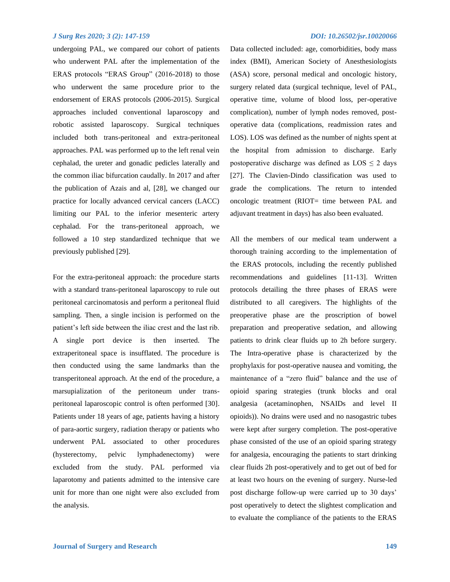undergoing PAL, we compared our cohort of patients who underwent PAL after the implementation of the ERAS protocols "ERAS Group" (2016-2018) to those who underwent the same procedure prior to the endorsement of ERAS protocols (2006-2015). Surgical approaches included conventional laparoscopy and robotic assisted laparoscopy. Surgical techniques included both trans-peritoneal and extra-peritoneal approaches. PAL was performed up to the left renal vein cephalad, the ureter and gonadic pedicles laterally and the common iliac bifurcation caudally. In 2017 and after the publication of Azais and al, [28], we changed our practice for locally advanced cervical cancers (LACC) limiting our PAL to the inferior mesenteric artery cephalad. For the trans-peritoneal approach, we followed a 10 step standardized technique that we previously published [29].

For the extra-peritoneal approach: the procedure starts with a standard trans-peritoneal laparoscopy to rule out peritoneal carcinomatosis and perform a peritoneal fluid sampling. Then, a single incision is performed on the patient's left side between the iliac crest and the last rib. A single port device is then inserted. The extraperitoneal space is insufflated. The procedure is then conducted using the same landmarks than the transperitoneal approach. At the end of the procedure, a marsupialization of the peritoneum under transperitoneal laparoscopic control is often performed [30]. Patients under 18 years of age, patients having a history of para-aortic surgery, radiation therapy or patients who underwent PAL associated to other procedures (hysterectomy, pelvic lymphadenectomy) were excluded from the study. PAL performed via laparotomy and patients admitted to the intensive care unit for more than one night were also excluded from the analysis.

# **Journal of Surgery and Research 149**

Data collected included: age, comorbidities, body mass index (BMI), American Society of Anesthesiologists (ASA) score, personal medical and oncologic history, surgery related data (surgical technique, level of PAL, operative time, volume of blood loss, per-operative complication), number of lymph nodes removed, postoperative data (complications, readmission rates and LOS). LOS was defined as the number of nights spent at the hospital from admission to discharge. Early postoperative discharge was defined as  $LOS \leq 2$  days [27]. The Clavien-Dindo classification was used to grade the complications. The return to intended oncologic treatment (RIOT= time between PAL and adjuvant treatment in days) has also been evaluated.

All the members of our medical team underwent a thorough training according to the implementation of the ERAS protocols, including the recently published recommendations and guidelines [11-13]. Written protocols detailing the three phases of ERAS were distributed to all caregivers. The highlights of the preoperative phase are the proscription of bowel preparation and preoperative sedation, and allowing patients to drink clear fluids up to 2h before surgery. The Intra-operative phase is characterized by the prophylaxis for post-operative nausea and vomiting, the maintenance of a "zero fluid" balance and the use of opioid sparing strategies (trunk blocks and oral analgesia (acetaminophen, NSAIDs and level II opioids)). No drains were used and no nasogastric tubes were kept after surgery completion. The post-operative phase consisted of the use of an opioid sparing strategy for analgesia, encouraging the patients to start drinking clear fluids 2h post-operatively and to get out of bed for at least two hours on the evening of surgery. Nurse-led post discharge follow-up were carried up to 30 days' post operatively to detect the slightest complication and to evaluate the compliance of the patients to the ERAS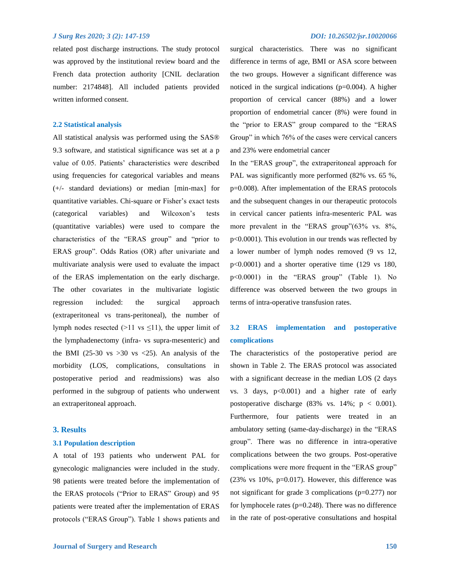related post discharge instructions. The study protocol was approved by the institutional review board and the French data protection authority [CNIL declaration number: 2174848]. All included patients provided written informed consent.

# **2.2 Statistical analysis**

All statistical analysis was performed using the SAS® 9.3 software, and statistical significance was set at a p value of 0.05. Patients' characteristics were described using frequencies for categorical variables and means (+/- standard deviations) or median [min-max] for quantitative variables. Chi-square or Fisher's exact tests (categorical variables) and Wilcoxon's tests (quantitative variables) were used to compare the characteristics of the "ERAS group" and "prior to ERAS group". Odds Ratios (OR) after univariate and multivariate analysis were used to evaluate the impact of the ERAS implementation on the early discharge. The other covariates in the multivariate logistic regression included: the surgical approach (extraperitoneal vs trans-peritoneal), the number of lymph nodes resected ( $>11$  vs  $\leq 11$ ), the upper limit of the lymphadenectomy (infra- vs supra-mesenteric) and the BMI (25-30 vs  $>30$  vs  $<25$ ). An analysis of the morbidity (LOS, complications, consultations in postoperative period and readmissions) was also performed in the subgroup of patients who underwent an extraperitoneal approach.

### **3. Results**

#### **3.1 Population description**

A total of 193 patients who underwent PAL for gynecologic malignancies were included in the study. 98 patients were treated before the implementation of the ERAS protocols ("Prior to ERAS" Group) and 95 patients were treated after the implementation of ERAS protocols ("ERAS Group"). Table 1 shows patients and surgical characteristics. There was no significant difference in terms of age, BMI or ASA score between the two groups. However a significant difference was noticed in the surgical indications  $(p=0.004)$ . A higher proportion of cervical cancer (88%) and a lower proportion of endometrial cancer (8%) were found in the "prior to ERAS" group compared to the "ERAS Group" in which 76% of the cases were cervical cancers and 23% were endometrial cancer

In the "ERAS group", the extraperitoneal approach for PAL was significantly more performed (82% vs. 65 %, p=0.008). After implementation of the ERAS protocols and the subsequent changes in our therapeutic protocols in cervical cancer patients infra-mesenteric PAL was more prevalent in the "ERAS group"(63% vs. 8%, p<0.0001). This evolution in our trends was reflected by a lower number of lymph nodes removed (9 vs 12, p<0.0001) and a shorter operative time (129 vs 180, p<0.0001) in the "ERAS group" (Table 1). No difference was observed between the two groups in terms of intra-operative transfusion rates.

# **3.2 ERAS implementation and postoperative complications**

The characteristics of the postoperative period are shown in Table 2. The ERAS protocol was associated with a significant decrease in the median LOS (2 days vs. 3 days,  $p<0.001$ ) and a higher rate of early postoperative discharge  $(83\% \text{ vs. } 14\%; \text{ p} < 0.001).$ Furthermore, four patients were treated in an ambulatory setting (same-day-discharge) in the "ERAS group". There was no difference in intra-operative complications between the two groups. Post-operative complications were more frequent in the "ERAS group" (23% vs 10%, p=0.017). However, this difference was not significant for grade 3 complications (p=0.277) nor for lymphocele rates  $(p=0.248)$ . There was no difference in the rate of post-operative consultations and hospital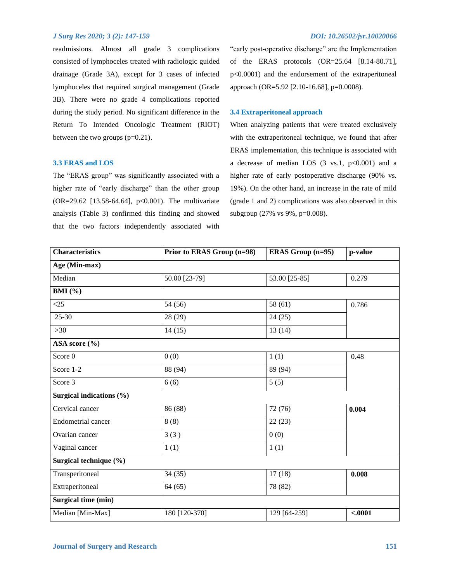readmissions. Almost all grade 3 complications consisted of lymphoceles treated with radiologic guided drainage (Grade 3A), except for 3 cases of infected lymphoceles that required surgical management (Grade 3B). There were no grade 4 complications reported during the study period. No significant difference in the Return To Intended Oncologic Treatment (RIOT) between the two groups (p=0.21).

#### **3.3 ERAS and LOS**

The "ERAS group" was significantly associated with a higher rate of "early discharge" than the other group (OR=29.62 [13.58-64.64], p<0.001). The multivariate analysis (Table 3) confirmed this finding and showed that the two factors independently associated with "early post-operative discharge" are the Implementation of the ERAS protocols (OR=25.64 [8.14-80.71], p<0.0001) and the endorsement of the extraperitoneal approach (OR=5.92 [2.10-16.68], p=0.0008).

#### **3.4 Extraperitoneal approach**

When analyzing patients that were treated exclusively with the extraperitoneal technique, we found that after ERAS implementation, this technique is associated with a decrease of median LOS  $(3 \text{ vs.1, } p<0.001)$  and a higher rate of early postoperative discharge (90% vs. 19%). On the other hand, an increase in the rate of mild (grade 1 and 2) complications was also observed in this subgroup (27% vs 9%, p=0.008).

| <b>Characteristics</b>     | Prior to ERAS Group (n=98) | <b>ERAS Group (n=95)</b> | p-value  |  |
|----------------------------|----------------------------|--------------------------|----------|--|
| Age (Min-max)              |                            |                          |          |  |
| Median                     | 50.00 [23-79]              | 53.00 [25-85]            | 0.279    |  |
| BMI $(\% )$                |                            |                          |          |  |
| $\leq$ 25                  | 54 (56)                    | 58(61)                   | 0.786    |  |
| $25 - 30$                  | 28 (29)                    | 24(25)                   |          |  |
| $>30$                      | 14(15)                     | 13(14)                   |          |  |
| ASA score (%)              |                            |                          |          |  |
| Score 0                    | 0(0)                       | 1(1)                     | 0.48     |  |
| Score 1-2                  | 88 (94)                    | 89 (94)                  |          |  |
| Score 3                    | 6(6)                       | 5(5)                     |          |  |
| Surgical indications (%)   |                            |                          |          |  |
| Cervical cancer            | 86 (88)                    | 72 (76)                  | 0.004    |  |
| <b>Endometrial cancer</b>  | 8(8)                       | 22(23)                   |          |  |
| Ovarian cancer             | 3(3)                       | 0(0)                     |          |  |
| Vaginal cancer             | 1(1)                       | 1(1)                     |          |  |
| Surgical technique (%)     |                            |                          |          |  |
| Transperitoneal            | 34(35)                     | 17(18)                   | 0.008    |  |
| Extraperitoneal            | 64(65)                     | 78 (82)                  |          |  |
| <b>Surgical time (min)</b> |                            |                          |          |  |
| Median [Min-Max]           | 180 [120-370]              | 129 [64-259]             | $-.0001$ |  |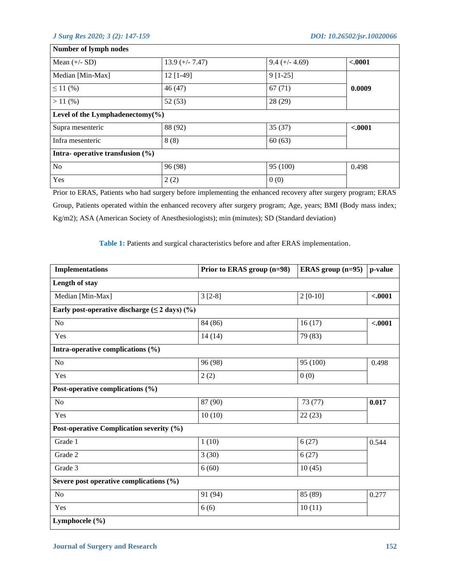| $13.9 (+/- 7.47)$ | $9.4 (+/- 4.69)$                                                            | $-.0001$ |
|-------------------|-----------------------------------------------------------------------------|----------|
| $12$ [1-49]       | $9[1-25]$                                                                   |          |
| 46(47)            | 67(71)                                                                      | 0.0009   |
| 52(53)            | 28(29)                                                                      |          |
|                   |                                                                             |          |
| 88 (92)           | 35(37)                                                                      | $-.0001$ |
| 8(8)              | 60(63)                                                                      |          |
|                   |                                                                             |          |
| 96 (98)           | 95 (100)                                                                    | 0.498    |
| 2(2)              | 0(0)                                                                        |          |
|                   | Level of the Lymphadenectomy $(\% )$<br>Intra-operative transfusion $(\% )$ |          |

Prior to ERAS, Patients who had surgery before implementing the enhanced recovery after surgery program; ERAS Group, Patients operated within the enhanced recovery after surgery program; Age, years; BMI (Body mass index; Kg/m2); ASA (American Society of Anesthesiologists); min (minutes); SD (Standard deviation)

**Table 1:** Patients and surgical characteristics before and after ERAS implementation.

| <b>Implementations</b>                                | Prior to ERAS group (n=98) | ERAS group $(n=95)$ | p-value  |
|-------------------------------------------------------|----------------------------|---------------------|----------|
| Length of stay                                        |                            |                     |          |
| Median [Min-Max]                                      | $3[2-8]$                   | $2[0-10]$           | < .0001  |
| Early post-operative discharge $(\leq 2$ days) $(\%)$ |                            |                     |          |
| N <sub>o</sub>                                        | 84 (86)                    | 16(17)              | $-.0001$ |
| Yes                                                   | 14(14)                     | 79 (83)             |          |
| Intra-operative complications (%)                     |                            |                     |          |
| N <sub>o</sub>                                        | 96 (98)                    | 95 (100)            | 0.498    |
| Yes                                                   | 2(2)                       | 0(0)                |          |
| Post-operative complications (%)                      |                            |                     |          |
| No                                                    | 87 (90)                    | 73 (77)             | 0.017    |
| Yes                                                   | 10(10)                     | 22(23)              |          |
| Post-operative Complication severity (%)              |                            |                     |          |
| Grade 1                                               | 1(10)                      | 6(27)               | 0.544    |
| Grade 2                                               | 3(30)                      | 6(27)               |          |
| Grade 3                                               | 6(60)                      | 10(45)              |          |
| Severe post operative complications $(\% )$           |                            |                     |          |
| N <sub>o</sub>                                        | 91 (94)                    | 85 (89)             | 0.277    |
| Yes                                                   | 6(6)                       | 10(11)              |          |
| Lymphocele (%)                                        |                            |                     |          |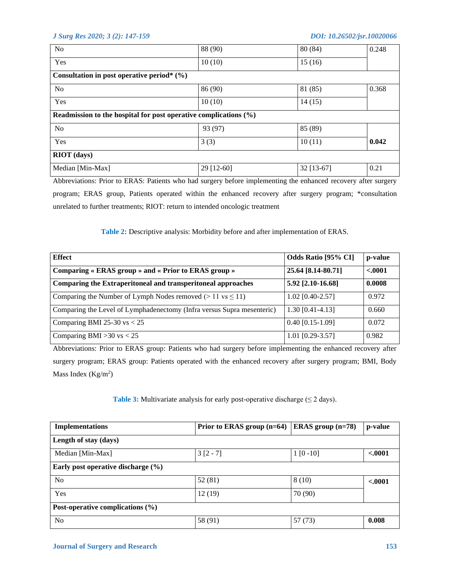| N <sub>o</sub>                                                      | 88 (90)    | 80(84)     | 0.248 |
|---------------------------------------------------------------------|------------|------------|-------|
| Yes                                                                 | 10(10)     | 15(16)     |       |
| Consultation in post operative period* $(%)$                        |            |            |       |
| N <sub>o</sub>                                                      | 86(90)     | 81 (85)    | 0.368 |
| Yes                                                                 | 10(10)     | 14(15)     |       |
| Readmission to the hospital for post operative complications $(\%)$ |            |            |       |
| N <sub>o</sub>                                                      | 93 (97)    | 85 (89)    |       |
| Yes                                                                 | 3(3)       | 10(11)     | 0.042 |
| <b>RIOT</b> (days)                                                  |            |            |       |
| Median [Min-Max]                                                    | 29 [12-60] | 32 [13-67] | 0.21  |
|                                                                     |            |            |       |

Abbreviations: Prior to ERAS: Patients who had surgery before implementing the enhanced recovery after surgery program; ERAS group, Patients operated within the enhanced recovery after surgery program; \*consultation unrelated to further treatments; RIOT: return to intended oncologic treatment

**Table 2:** Descriptive analysis: Morbidity before and after implementation of ERAS.

| <b>Effect</b>                                                          | Odds Ratio [95% CI] | p-value  |
|------------------------------------------------------------------------|---------------------|----------|
| Comparing « ERAS group » and « Prior to ERAS group »                   | 25.64 [8.14-80.71]  | $-.0001$ |
| Comparing the Extraperitoneal and transperitoneal approaches           | 5.92 [2.10-16.68]   | 0.0008   |
| Comparing the Number of Lymph Nodes removed ( $> 11$ vs $\leq 11$ )    | $1.02$ [0.40-2.57]  | 0.972    |
| Comparing the Level of Lymphadenectomy (Infra versus Supra mesenteric) | $1.30$ [0.41-4.13]  | 0.660    |
| Comparing BMI 25-30 $vs < 25$                                          | $0.40$ [0.15-1.09]  | 0.072    |
| Comparing BMI $>30$ vs $< 25$                                          | $1.01$ [0.29-3.57]  | 0.982    |

Abbreviations: Prior to ERAS group: Patients who had surgery before implementing the enhanced recovery after surgery program; ERAS group: Patients operated with the enhanced recovery after surgery program; BMI, Body Mass Index  $(Kg/m<sup>2</sup>)$ 

**Table 3:** Multivariate analysis for early post-operative discharge  $(\leq 2 \text{ days})$ .

| <b>Implementations</b>               | Prior to ERAS group $(n=64)$ | ERAS group $(n=78)$ | p-value  |
|--------------------------------------|------------------------------|---------------------|----------|
| Length of stay (days)                |                              |                     |          |
| Median [Min-Max]                     | $3[2 - 7]$                   | $1 [0 - 10]$        | < .0001  |
| Early post operative discharge (%)   |                              |                     |          |
| No                                   | 52(81)                       | 8(10)               | $-.0001$ |
| Yes                                  | 12(19)                       | 70 (90)             |          |
| Post-operative complications $(\% )$ |                              |                     |          |
| No                                   | 58 (91)                      | 57(73)              | 0.008    |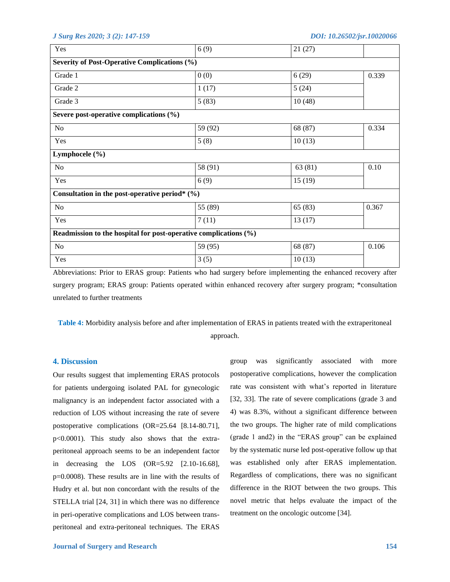| Yes                                              | 6(9)                                                             | 21(27)  |       |
|--------------------------------------------------|------------------------------------------------------------------|---------|-------|
| Severity of Post-Operative Complications (%)     |                                                                  |         |       |
| Grade 1                                          | 0(0)                                                             | 6(29)   | 0.339 |
| Grade 2                                          | 1(17)                                                            | 5(24)   |       |
| Grade 3                                          | 5(83)                                                            | 10(48)  |       |
| Severe post-operative complications (%)          |                                                                  |         |       |
| No                                               | 59 (92)                                                          | 68 (87) | 0.334 |
| Yes                                              | 5(8)                                                             | 10(13)  |       |
| Lymphocele (%)                                   |                                                                  |         |       |
| No                                               | 58 (91)                                                          | 63 (81) | 0.10  |
| Yes                                              | 6(9)                                                             | 15(19)  |       |
| Consultation in the post-operative period* $(%)$ |                                                                  |         |       |
| No                                               | 55 (89)                                                          | 65(83)  | 0.367 |
| Yes                                              | 7(11)                                                            | 13(17)  |       |
|                                                  | Readmission to the hospital for post-operative complications (%) |         |       |
| $\rm No$                                         | 59 (95)                                                          | 68 (87) | 0.106 |
| Yes                                              | 3(5)                                                             | 10(13)  |       |
|                                                  |                                                                  |         |       |

Abbreviations: Prior to ERAS group: Patients who had surgery before implementing the enhanced recovery after surgery program; ERAS group: Patients operated within enhanced recovery after surgery program; \*consultation unrelated to further treatments

**Table 4:** Morbidity analysis before and after implementation of ERAS in patients treated with the extraperitoneal approach.

### **4. Discussion**

Our results suggest that implementing ERAS protocols for patients undergoing isolated PAL for gynecologic malignancy is an independent factor associated with a reduction of LOS without increasing the rate of severe postoperative complications (OR=25.64 [8.14-80.71], p<0.0001). This study also shows that the extraperitoneal approach seems to be an independent factor in decreasing the LOS (OR=5.92 [2.10-16.68], p=0.0008). These results are in line with the results of Hudry et al. but non concordant with the results of the STELLA trial [24, 31] in which there was no difference in peri-operative complications and LOS between transperitoneal and extra-peritoneal techniques. The ERAS

group was significantly associated with more postoperative complications, however the complication rate was consistent with what's reported in literature [32, 33]. The rate of severe complications (grade 3 and 4) was 8.3%, without a significant difference between the two groups. The higher rate of mild complications (grade 1 and2) in the "ERAS group" can be explained by the systematic nurse led post-operative follow up that was established only after ERAS implementation. Regardless of complications, there was no significant difference in the RIOT between the two groups. This novel metric that helps evaluate the impact of the treatment on the oncologic outcome [34].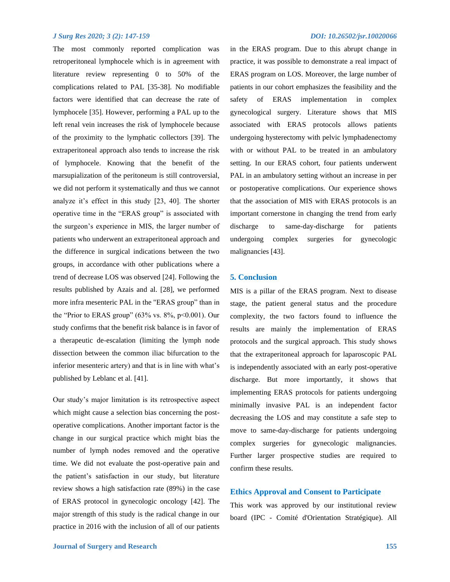The most commonly reported complication was retroperitoneal lymphocele which is in agreement with literature review representing 0 to 50% of the complications related to PAL [35-38]. No modifiable factors were identified that can decrease the rate of lymphocele [35]. However, performing a PAL up to the left renal vein increases the risk of lymphocele because of the proximity to the lymphatic collectors [39]. The extraperitoneal approach also tends to increase the risk of lymphocele. Knowing that the benefit of the marsupialization of the peritoneum is still controversial, we did not perform it systematically and thus we cannot analyze it's effect in this study [23, 40]. The shorter operative time in the "ERAS group" is associated with the surgeon's experience in MIS, the larger number of patients who underwent an extraperitoneal approach and the difference in surgical indications between the two groups, in accordance with other publications where a trend of decrease LOS was observed [24]. Following the results published by Azais and al. [28], we performed more infra mesenteric PAL in the "ERAS group" than in the "Prior to ERAS group" (63% vs. 8%, p<0.001). Our study confirms that the benefit risk balance is in favor of a therapeutic de-escalation (limiting the lymph node dissection between the common iliac bifurcation to the inferior mesenteric artery) and that is in line with what's published by Leblanc et al. [41].

Our study's major limitation is its retrospective aspect which might cause a selection bias concerning the postoperative complications. Another important factor is the change in our surgical practice which might bias the number of lymph nodes removed and the operative time. We did not evaluate the post-operative pain and the patient's satisfaction in our study, but literature review shows a high satisfaction rate (89%) in the case of ERAS protocol in gynecologic oncology [42]. The major strength of this study is the radical change in our practice in 2016 with the inclusion of all of our patients

in the ERAS program. Due to this abrupt change in practice, it was possible to demonstrate a real impact of ERAS program on LOS. Moreover, the large number of patients in our cohort emphasizes the feasibility and the safety of ERAS implementation in complex gynecological surgery. Literature shows that MIS associated with ERAS protocols allows patients undergoing hysterectomy with pelvic lymphadenectomy with or without PAL to be treated in an ambulatory setting. In our ERAS cohort, four patients underwent PAL in an ambulatory setting without an increase in per or postoperative complications. Our experience shows that the association of MIS with ERAS protocols is an important cornerstone in changing the trend from early discharge to same-day-discharge for patients undergoing complex surgeries for gynecologic malignancies [43].

#### **5. Conclusion**

MIS is a pillar of the ERAS program. Next to disease stage, the patient general status and the procedure complexity, the two factors found to influence the results are mainly the implementation of ERAS protocols and the surgical approach. This study shows that the extraperitoneal approach for laparoscopic PAL is independently associated with an early post-operative discharge. But more importantly, it shows that implementing ERAS protocols for patients undergoing minimally invasive PAL is an independent factor decreasing the LOS and may constitute a safe step to move to same-day-discharge for patients undergoing complex surgeries for gynecologic malignancies. Further larger prospective studies are required to confirm these results.

#### **Ethics Approval and Consent to Participate**

This work was approved by our institutional review board (IPC - Comité d'Orientation Stratégique). All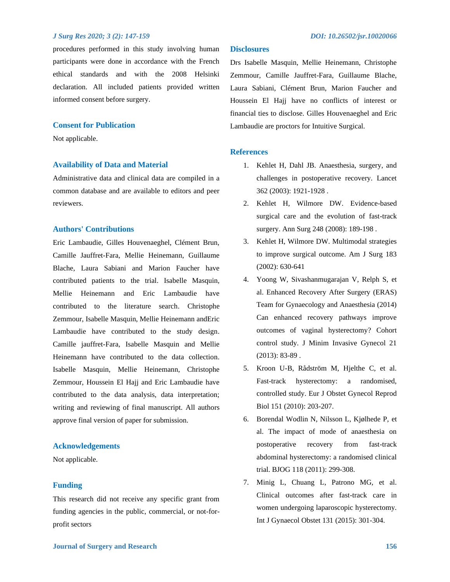procedures performed in this study involving human participants were done in accordance with the French ethical standards and with the 2008 Helsinki declaration. All included patients provided written informed consent before surgery.

### **Consent for Publication**

Not applicable.

### **Availability of Data and Material**

Administrative data and clinical data are compiled in a common database and are available to editors and peer reviewers.

### **Authors' Contributions**

Eric Lambaudie, Gilles Houvenaeghel, Clément Brun, Camille Jauffret-Fara, Mellie Heinemann, Guillaume Blache, Laura Sabiani and Marion Faucher have contributed patients to the trial. Isabelle Masquin, Mellie Heinemann and Eric Lambaudie have contributed to the literature search. Christophe Zemmour, Isabelle Masquin, Mellie Heinemann andEric Lambaudie have contributed to the study design. Camille jauffret-Fara, Isabelle Masquin and Mellie Heinemann have contributed to the data collection. Isabelle Masquin, Mellie Heinemann, Christophe Zemmour, Houssein El Hajj and Eric Lambaudie have contributed to the data analysis, data interpretation; writing and reviewing of final manuscript. All authors approve final version of paper for submission.

#### **Acknowledgements**

Not applicable.

# **Funding**

This research did not receive any specific grant from funding agencies in the public, commercial, or not-forprofit sectors

### **Disclosures**

Drs Isabelle Masquin, Mellie Heinemann, Christophe Zemmour, Camille Jauffret-Fara, Guillaume Blache, Laura Sabiani, Clément Brun, Marion Faucher and Houssein El Hajj have no conflicts of interest or financial ties to disclose. Gilles Houvenaeghel and Eric Lambaudie are proctors for Intuitive Surgical.

### **References**

- 1. Kehlet H, Dahl JB. Anaesthesia, surgery, and challenges in postoperative recovery. Lancet 362 (2003): 1921-1928 .
- 2. Kehlet H, Wilmore DW. Evidence-based surgical care and the evolution of fast-track surgery. Ann Surg 248 (2008): 189-198 .
- 3. Kehlet H, Wilmore DW. Multimodal strategies to improve surgical outcome. Am J Surg 183 (2002): 630-641
- 4. Yoong W, Sivashanmugarajan V, Relph S, et al. Enhanced Recovery After Surgery (ERAS) Team for Gynaecology and Anaesthesia (2014) Can enhanced recovery pathways improve outcomes of vaginal hysterectomy? Cohort control study. J Minim Invasive Gynecol 21 (2013): 83-89 .
- 5. Kroon U-B, Rådström M, Hjelthe C, et al. Fast-track hysterectomy: a randomised, controlled study. Eur J Obstet Gynecol Reprod Biol 151 (2010): 203-207.
- 6. Borendal Wodlin N, Nilsson L, Kjølhede P, et al. The impact of mode of anaesthesia on postoperative recovery from fast-track abdominal hysterectomy: a randomised clinical trial. BJOG 118 (2011): 299-308.
- 7. Minig L, Chuang L, Patrono MG, et al. Clinical outcomes after fast-track care in women undergoing laparoscopic hysterectomy. Int J Gynaecol Obstet 131 (2015): 301-304.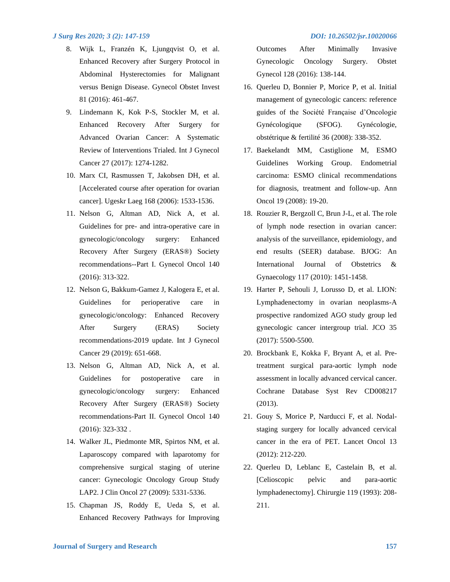- 8. Wijk L, Franzén K, Ljungqvist O, et al. Enhanced Recovery after Surgery Protocol in Abdominal Hysterectomies for Malignant versus Benign Disease. Gynecol Obstet Invest 81 (2016): 461-467.
- 9. Lindemann K, Kok P-S, Stockler M, et al. Enhanced Recovery After Surgery for Advanced Ovarian Cancer: A Systematic Review of Interventions Trialed. Int J Gynecol Cancer 27 (2017): 1274-1282.
- 10. Marx CI, Rasmussen T, Jakobsen DH, et al. [Accelerated course after operation for ovarian cancer]. Ugeskr Laeg 168 (2006): 1533-1536.
- 11. Nelson G, Altman AD, Nick A, et al. Guidelines for pre- and intra-operative care in gynecologic/oncology surgery: Enhanced Recovery After Surgery (ERAS®) Society recommendations--Part I. Gynecol Oncol 140 (2016): 313-322.
- 12. Nelson G, Bakkum-Gamez J, Kalogera E, et al. Guidelines for perioperative care in gynecologic/oncology: Enhanced Recovery After Surgery (ERAS) Society recommendations-2019 update. Int J Gynecol Cancer 29 (2019): 651-668.
- 13. Nelson G, Altman AD, Nick A, et al. Guidelines for postoperative care in gynecologic/oncology surgery: Enhanced Recovery After Surgery (ERAS®) Society recommendations-Part II. Gynecol Oncol 140 (2016): 323-332 .
- 14. Walker JL, Piedmonte MR, Spirtos NM, et al. Laparoscopy compared with laparotomy for comprehensive surgical staging of uterine cancer: Gynecologic Oncology Group Study LAP2. J Clin Oncol 27 (2009): 5331-5336.
- 15. Chapman JS, Roddy E, Ueda S, et al. Enhanced Recovery Pathways for Improving

Outcomes After Minimally Invasive Gynecologic Oncology Surgery. Obstet Gynecol 128 (2016): 138-144.

- 16. Querleu D, Bonnier P, Morice P, et al. Initial management of gynecologic cancers: reference guides of the Société Française d'Oncologie Gynécologique (SFOG). Gynécologie, obstétrique & fertilité 36 (2008): 338-352.
- 17. Baekelandt MM, Castiglione M, ESMO Guidelines Working Group. Endometrial carcinoma: ESMO clinical recommendations for diagnosis, treatment and follow-up. Ann Oncol 19 (2008): 19-20.
- 18. Rouzier R, Bergzoll C, Brun J-L, et al. The role of lymph node resection in ovarian cancer: analysis of the surveillance, epidemiology, and end results (SEER) database. BJOG: An International Journal of Obstetrics & Gynaecology 117 (2010): 1451-1458.
- 19. Harter P, Sehouli J, Lorusso D, et al. LION: Lymphadenectomy in ovarian neoplasms-A prospective randomized AGO study group led gynecologic cancer intergroup trial. JCO 35 (2017): 5500-5500.
- 20. Brockbank E, Kokka F, Bryant A, et al. Pretreatment surgical para-aortic lymph node assessment in locally advanced cervical cancer. Cochrane Database Syst Rev CD008217 (2013).
- 21. Gouy S, Morice P, Narducci F, et al. Nodalstaging surgery for locally advanced cervical cancer in the era of PET. Lancet Oncol 13 (2012): 212-220.
- 22. Querleu D, Leblanc E, Castelain B, et al. [Celioscopic pelvic and para-aortic lymphadenectomy]. Chirurgie 119 (1993): 208- 211.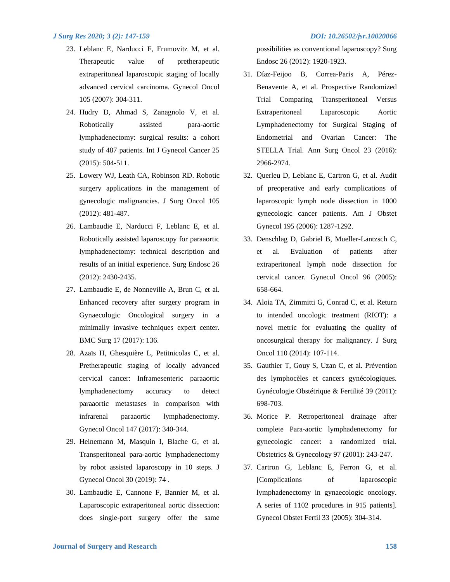- 23. Leblanc E, Narducci F, Frumovitz M, et al. Therapeutic value of pretherapeutic extraperitoneal laparoscopic staging of locally advanced cervical carcinoma. Gynecol Oncol 105 (2007): 304-311.
- 24. Hudry D, Ahmad S, Zanagnolo V, et al. Robotically assisted para-aortic lymphadenectomy: surgical results: a cohort study of 487 patients. Int J Gynecol Cancer 25 (2015): 504-511.
- 25. Lowery WJ, Leath CA, Robinson RD. Robotic surgery applications in the management of gynecologic malignancies. J Surg Oncol 105 (2012): 481-487.
- 26. Lambaudie E, Narducci F, Leblanc E, et al. Robotically assisted laparoscopy for paraaortic lymphadenectomy: technical description and results of an initial experience. Surg Endosc 26 (2012): 2430-2435.
- 27. Lambaudie E, de Nonneville A, Brun C, et al. Enhanced recovery after surgery program in Gynaecologic Oncological surgery in a minimally invasive techniques expert center. BMC Surg 17 (2017): 136.
- 28. Azaïs H, Ghesquière L, Petitnicolas C, et al. Pretherapeutic staging of locally advanced cervical cancer: Inframesenteric paraaortic lymphadenectomy accuracy to detect paraaortic metastases in comparison with infrarenal paraaortic lymphadenectomy. Gynecol Oncol 147 (2017): 340-344.
- 29. Heinemann M, Masquin I, Blache G, et al. Transperitoneal para-aortic lymphadenectomy by robot assisted laparoscopy in 10 steps. J Gynecol Oncol 30 (2019): 74 .
- 30. Lambaudie E, Cannone F, Bannier M, et al. Laparoscopic extraperitoneal aortic dissection: does single-port surgery offer the same

possibilities as conventional laparoscopy? Surg Endosc 26 (2012): 1920-1923.

- 31. Díaz-Feijoo B, Correa-Paris A, Pérez-Benavente A, et al. Prospective Randomized Trial Comparing Transperitoneal Versus Extraperitoneal Laparoscopic Aortic Lymphadenectomy for Surgical Staging of Endometrial and Ovarian Cancer: The STELLA Trial. Ann Surg Oncol 23 (2016): 2966-2974.
- 32. Querleu D, Leblanc E, Cartron G, et al. Audit of preoperative and early complications of laparoscopic lymph node dissection in 1000 gynecologic cancer patients. Am J Obstet Gynecol 195 (2006): 1287-1292.
- 33. Denschlag D, Gabriel B, Mueller-Lantzsch C, et al. Evaluation of patients after extraperitoneal lymph node dissection for cervical cancer. Gynecol Oncol 96 (2005): 658-664.
- 34. Aloia TA, Zimmitti G, Conrad C, et al. Return to intended oncologic treatment (RIOT): a novel metric for evaluating the quality of oncosurgical therapy for malignancy. J Surg Oncol 110 (2014): 107‐114.
- 35. Gauthier T, Gouy S, Uzan C, et al. Prévention des lymphocèles et cancers gynécologiques. Gynécologie Obstétrique & Fertilité 39 (2011): 698-703.
- 36. Morice P. Retroperitoneal drainage after complete Para-aortic lymphadenectomy for gynecologic cancer: a randomized trial. Obstetrics & Gynecology 97 (2001): 243-247.
- 37. Cartron G, Leblanc E, Ferron G, et al. [Complications of laparoscopic lymphadenectomy in gynaecologic oncology. A series of 1102 procedures in 915 patients]. Gynecol Obstet Fertil 33 (2005): 304-314.